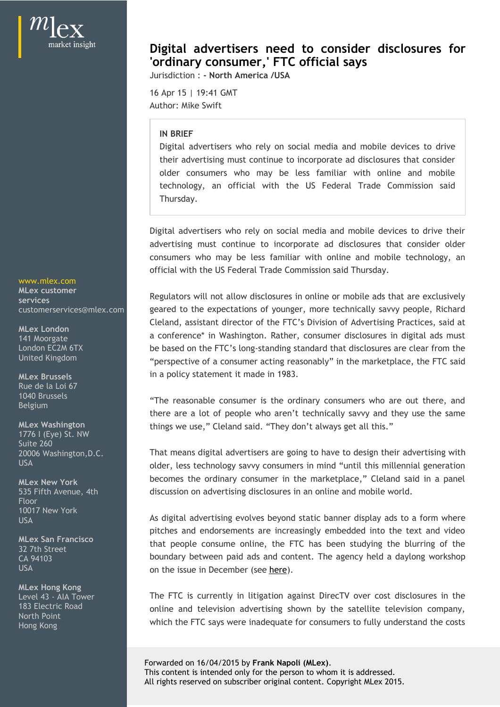## www.mlex.com

Rue de la Loi 67

1776 I (Eye) St. NW Suite 260

Floor

**MLex Hong Kong**

## **Digital advertisers need to consider disclosures for**<br> **'ordinary consumer,' FTC official says**<br>
Jurisdiction : - North America /USA<br>
16 Apr 15 | 19:41 GMT<br>
Author: Mike Swift<br>
IN BRIEF<br>
Digital advertisers who rely on so **'ordinary consumer,' FTC official says**

Jurisdiction : **- North America /USA**

16 Apr 15 | 19:41 GMT Author: Mike Swift

## **IN BRIEF**

**igital advertisers need to consider disclosures for<br>rdinary consumer,' FTC official says**<br>risdiction : - North America /USA<br>Apr 15 | 19:41 GMT<br>thor: Mike Swift<br>IN BRIEF<br>Digital advertisers who rely on social media and mob their advertising must continue to incorporate ad disclosures that consider **igital advertisers need to consider disclosures for**<br> **ordinary consumer, FTC official says**<br>
Apr 15 | 19:41 GMT<br>
Apr 15 | 19:41 GMT<br>
Apr 15 | 19:41 GMT<br>
Apr 15 | 19:41 GMT<br>
Apr 15 | 19:41 GMT<br>
Apr 15 | 19:41 GMT<br>
Apr 15 **igital advertisers need to consider disclosures for<br>
rdinary consumer,' FTC official says**<br>
rsidiction : - North America /USA<br>
Apr 15 | 19:41 GMT<br>
thor: Mike Swift<br>
IN BRIEF<br>
IN BRIEF<br>
IN BRIEF<br>
the US Federal Trade Commi Thursday. **Digital advertisers need to consider disclosures for 'ordinary consumer,' FTC official says**<br>
Uurisdiction : - North America /USA<br>
At 6 Apr 15 | 19:41 GMT<br>
NUMBINEF<br>
Digital advertisers who rely on social media and mobile **Digital advertisers need to consider disclosures for 'ordinary consumer,' FTC official says**<br>
Unrisdiction : - North America /USA<br>
flo Apr 15 | 19:41 GMT<br>
Whor: Mike Swift<br>
IN BRIEF<br>
IN BRIEF<br>
IN BRIEF<br>
their advertising

Digital advertisers who rely on social media and mobile devices to drive their official with the US Federal Trade Commission said Thursday.

Regulators will not allow disclosures in online or mobile ads that are exclusively **MLex customer** customerservices@mlex.com | geared to the expectations of younger, more technically savvy people, Richard Cleland, assistant director of the FTC's Division of Advertising Practices, said at a conference\* in Washington. Rather, consumer disclosures in digital ads must **MLex London** be based on the FTC's long-standing standard that disclosures are clear from the London EC2M 6TX "perspective of a consumer acting reasonably" in the marketplace, the FTC said United Kingdom in a policy statement it made in 1983. **MLex Brussels** Author: Mike Swift<br>
IN BRIEF<br>
Digital advertisers who rely on social media and mobile devices to drive<br>
their advertising must continue to incorporate ad disclosures that consider<br>
older consumers who may be less familiar technology, an official with the US Federal Trade Commission said<br>Thursday.<br>
Digital advertisers who rely on social media and mobile devices to drive their<br>
advertising must continue to incorporate ad disclosures that cons Digitaladvertising more than the mathemologie environment and motion environments of only an advertising must contineute to incorporate ad disclosures that consider older consumers who may be less familiar with online and abortsing matt continue to incorporate and encossures that consumers who may be less familiar with online and mobile technology, an official with the US Federal Trade Commission said Thursday.<br>Regulators will not allow dis Reguators with not allow discosures in online or monite ads that are excutisvely<br>geared to the expectations of younger, more technically savy people, Richard<br>Cleland, assistant director of the FTC's Division of Advertising egared to the expectations of younger, more technically savy people, when<br>cleland, assistant director of the FTC's Division of Advertising Practices, said at<br>a conference" in Washington. Rather, consumer disclosures in dig services **services** and the exploration will not allow disclosures in ordine or mobile ads traditional 141 Moorgate **19 COLLECT CONTRIGE IN STRAIGHT** MASHING MOORGATE. COM

there are a lot of people who aren't technically savvy and they use the same things we use," Cleland said. "They don't always get all this." **MLex Washington** 1040 Brussels **10.1 The research is the endingly consumer** who is Belgium **Belgium** and the reasonable consumer is the c

That means digital advertisers are going to have to design their advertising with 20006 Washington,D.C. older, less technology savvy consumers in mind "until this millennial generation USA discussion on advertising disclosures in an online and mobile world. 535 Fifth Avenue, 4th MLex New York becomes the ordinary consumer in the marketplace," Cleland said in a panel

As digital advertising evolves beyond static banner display ads to a form where boundary between paid ads and content. The agency held a daylong workshop CA 94103 USA **Example 2018 On the issue in December (see here).** The interval and in the interval and in the interval and interval and interval and interval and interval and interval and interval and interval and interval and int 10017 New York  $_{\rm USA}$  and the contract of the contract and the contract of the contract of the contract of the contract of the contract of the contract of the contract of the contract of the contract of the contract of the contract of **MLex San Francisco** 32 7th Street **1982** and people consume online, the FTC has been stadying

North Point<br>Hong Kong Level 43 - AIA Tower The FTC is currently in litigation against DirecTV over cost disclosures in the 183 Electric Road **183** Electric Road 183 Electric Road 183 Electric Road 183 Electric Road Hong Kong **Hong Kong Congress of the Constitution** of the PTC says were inadequate for consumers to futly understand the cos

> Forwarded on 16/04/2015 by **Frank Napoli (MLex)**. This content is intended only for the person to whom it is addressed. All rights reserved on subscriber original content. Copyright MLex 2015.